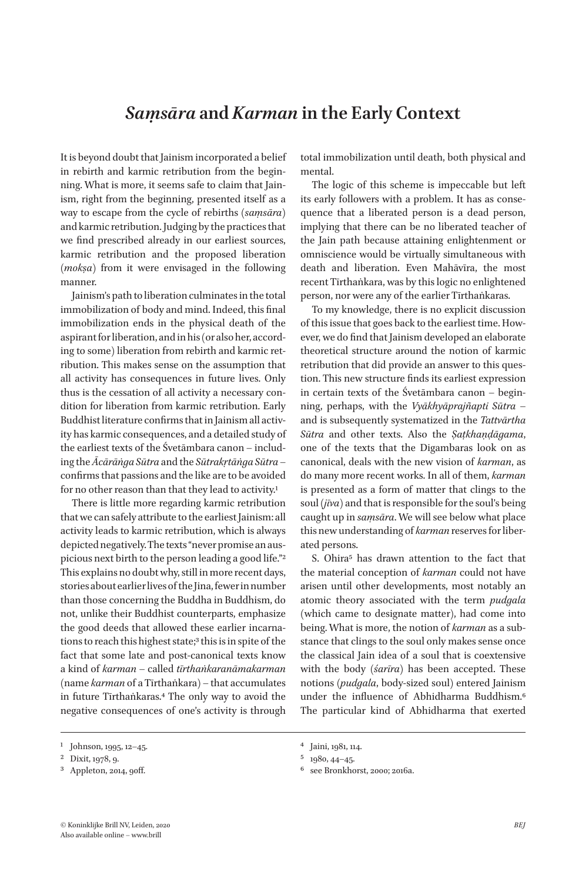## *Saṃsāra* **and** *Karman* **in the Early Context**

It is beyond doubt that Jainism incorporated a belief in rebirth and karmic retribution from the beginning. What is more, it seems safe to claim that Jainism, right from the beginning, presented itself as a way to escape from the cycle of rebirths (*saṃsāra*) and karmic retribution. Judging by the practices that we find prescribed already in our earliest sources, karmic retribution and the proposed liberation (*mokṣa*) from it were envisaged in the following manner.

Jainism's path to liberation culminates in the total immobilization of body and mind. Indeed, this final immobilization ends in the physical death of the aspirant for liberation, and in his (or also her, according to some) liberation from rebirth and karmic retribution. This makes sense on the assumption that all activity has consequences in future lives. Only thus is the cessation of all activity a necessary condition for liberation from karmic retribution. Early Buddhist literature confirms that in Jainism all activity has karmic consequences, and a detailed study of the earliest texts of the Śvetāmbara canon – including the *Ācārāṅga Sūtra* and the *Sūtrakṛtāṅga Sūtra* – confirms that passions and the like are to be avoided for no other reason than that they lead to activity.<sup>1</sup>

There is little more regarding karmic retribution that we can safely attribute to the earliest Jainism: all activity leads to karmic retribution, which is always depicted negatively. The texts "never promise an auspicious next birth to the person leading a good life."2 This explains no doubt why, still in more recent days, stories about earlier lives of the Jina, fewer in number than those concerning the Buddha in Buddhism, do not, unlike their Buddhist counterparts, emphasize the good deeds that allowed these earlier incarnations to reach this highest state;<sup>3</sup> this is in spite of the fact that some late and post-canonical texts know a kind of *karman* – called *tīrthaṅkaranāmakarman* (name *karman* of a Tīrthaṅkara) – that accumulates in future Tīrthaṅkaras.4 The only way to avoid the negative consequences of one's activity is through

total immobilization until death, both physical and mental.

The logic of this scheme is impeccable but left its early followers with a problem. It has as consequence that a liberated person is a dead person, implying that there can be no liberated teacher of the Jain path because attaining enlightenment or omniscience would be virtually simultaneous with death and liberation. Even Mahāvīra, the most recent Tīrthaṅkara, was by this logic no enlightened person, nor were any of the earlier Tīrthaṅkaras.

To my knowledge, there is no explicit discussion of this issue that goes back to the earliest time. However, we do find that Jainism developed an elaborate theoretical structure around the notion of karmic retribution that did provide an answer to this question. This new structure finds its earliest expression in certain texts of the Śvetāmbara canon – beginning, perhaps, with the *Vyākhyāprajñapti Sūtra* – and is subsequently systematized in the *Tattvārtha Sūtra* and other texts. Also the *Ṣaṭkhaṇḍāgama*, one of the texts that the Digambaras look on as canonical, deals with the new vision of *karman*, as do many more recent works. In all of them, *karman* is presented as a form of matter that clings to the soul (*jīva*) and that is responsible for the soul's being caught up in *saṃsāra*. We will see below what place this new understanding of *karman* reserves for liberated persons.

S. Ohira<sup>5</sup> has drawn attention to the fact that the material conception of *karman* could not have arisen until other developments, most notably an atomic theory associated with the term *pudgala* (which came to designate matter), had come into being. What is more, the notion of *karman* as a substance that clings to the soul only makes sense once the classical Jain idea of a soul that is coextensive with the body (*śarīra*) has been accepted. These notions (*pudgala*, body-sized soul) entered Jainism under the influence of Abhidharma Buddhism.6 The particular kind of Abhidharma that exerted

<sup>1</sup> Johnson, 1995, 12–45.

<sup>2</sup> Dixit, 1978, 9.

<sup>3</sup> Appleton, 2014, 90ff.

<sup>4</sup> Jaini, 1981, 114.

<sup>5</sup> 1980, 44–45.

<sup>6</sup> see Bronkhorst, 2000; 2016a.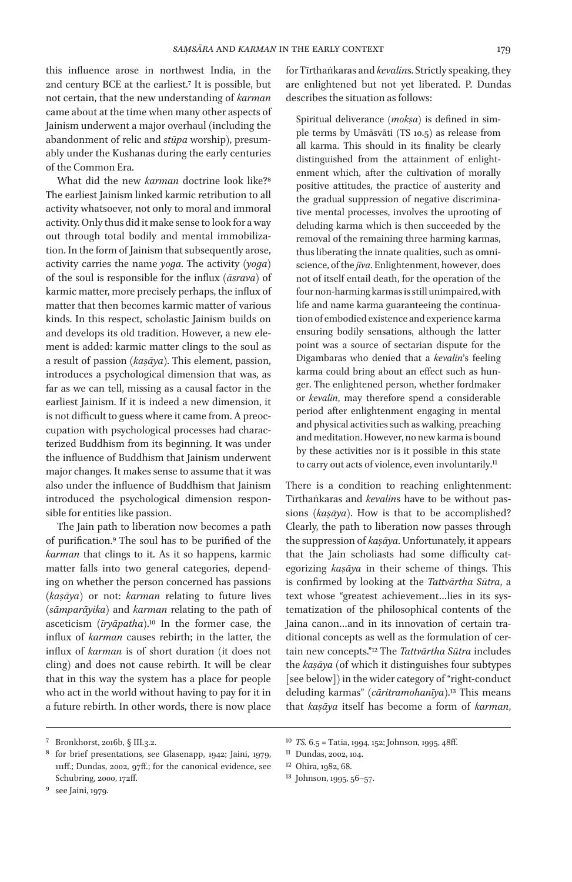this influence arose in northwest India, in the 2nd century BCE at the earliest.7 It is possible, but not certain, that the new understanding of *karman* came about at the time when many other aspects of Jainism underwent a major overhaul (including the abandonment of relic and *stūpa* worship), presumably under the Kushanas during the early centuries of the Common Era.

What did the new *karman* doctrine look like?8 The earliest Jainism linked karmic retribution to all activity whatsoever, not only to moral and immoral activity. Only thus did it make sense to look for a way out through total bodily and mental immobilization. In the form of Jainism that subsequently arose, activity carries the name *yoga*. The activity (*yoga*) of the soul is responsible for the influx (*āsrava*) of karmic matter, more precisely perhaps, the influx of matter that then becomes karmic matter of various kinds. In this respect, scholastic Jainism builds on and develops its old tradition. However, a new element is added: karmic matter clings to the soul as a result of passion (*kaṣāya*). This element, passion, introduces a psychological dimension that was, as far as we can tell, missing as a causal factor in the earliest Jainism. If it is indeed a new dimension, it is not difficult to guess where it came from. A preoccupation with psychological processes had characterized Buddhism from its beginning. It was under the influence of Buddhism that Jainism underwent major changes. It makes sense to assume that it was also under the influence of Buddhism that Jainism introduced the psychological dimension responsible for entities like passion.

The Jain path to liberation now becomes a path of purification.9 The soul has to be purified of the *karman* that clings to it. As it so happens, karmic matter falls into two general categories, depending on whether the person concerned has passions (*kaṣāya*) or not: *karman* relating to future lives (*sāmparāyika*) and *karman* relating to the path of asceticism (*īryāpatha*).10 In the former case, the influx of *karman* causes rebirth; in the latter, the influx of *karman* is of short duration (it does not cling) and does not cause rebirth. It will be clear that in this way the system has a place for people who act in the world without having to pay for it in a future rebirth. In other words, there is now place

for Tīrthaṅkaras and *kevalin*s. Strictly speaking, they are enlightened but not yet liberated. P. Dundas describes the situation as follows:

Spiritual deliverance (*mokṣa*) is defined in simple terms by Umāsvāti (TS 10.5) as release from all karma. This should in its finality be clearly distinguished from the attainment of enlightenment which, after the cultivation of morally positive attitudes, the practice of austerity and the gradual suppression of negative discriminative mental processes, involves the uprooting of deluding karma which is then succeeded by the removal of the remaining three harming karmas, thus liberating the innate qualities, such as omniscience, of the *jīva*. Enlightenment, however, does not of itself entail death, for the operation of the four non-harming karmas is still unimpaired, with life and name karma guaranteeing the continuation of embodied existence and experience karma ensuring bodily sensations, although the latter point was a source of sectarian dispute for the Digambaras who denied that a *kevalin*'s feeling karma could bring about an effect such as hunger. The enlightened person, whether fordmaker or *kevalin*, may therefore spend a considerable period after enlightenment engaging in mental and physical activities such as walking, preaching and meditation. However, no new karma is bound by these activities nor is it possible in this state to carry out acts of violence, even involuntarily.<sup>11</sup>

There is a condition to reaching enlightenment: Tīrthaṅkaras and *kevalin*s have to be without passions (*kaṣāya*). How is that to be accomplished? Clearly, the path to liberation now passes through the suppression of *kaṣāya*. Unfortunately, it appears that the Jain scholiasts had some difficulty categorizing *kaṣāya* in their scheme of things. This is confirmed by looking at the *Tattvārtha Sūtra*, a text whose "greatest achievement…lies in its systematization of the philosophical contents of the Jaina canon…and in its innovation of certain traditional concepts as well as the formulation of certain new concepts."12 The *Tattvārtha Sūtra* includes the *kaṣāya* (of which it distinguishes four subtypes [see below]) in the wider category of "right-conduct deluding karmas" (*cāritramohanīya*).13 This means that *kaṣāya* itself has become a form of *karman*,

<sup>7</sup> Bronkhorst, 2016b, § III.3.2.

<sup>8</sup> for brief presentations, see Glasenapp, 1942; Jaini, 1979, 111ff.; Dundas, 2002, 97ff.; for the canonical evidence, see Schubring, 2000, 172ff.

<sup>9</sup> see Jaini, 1979.

<sup>10</sup> *TS.* 6.5 = Tatia, 1994, 152; Johnson, 1995, 48ff.

<sup>11</sup> Dundas, 2002, 104.

<sup>12</sup> Ohira, 1982, 68.

<sup>13</sup> Johnson, 1995, 56–57.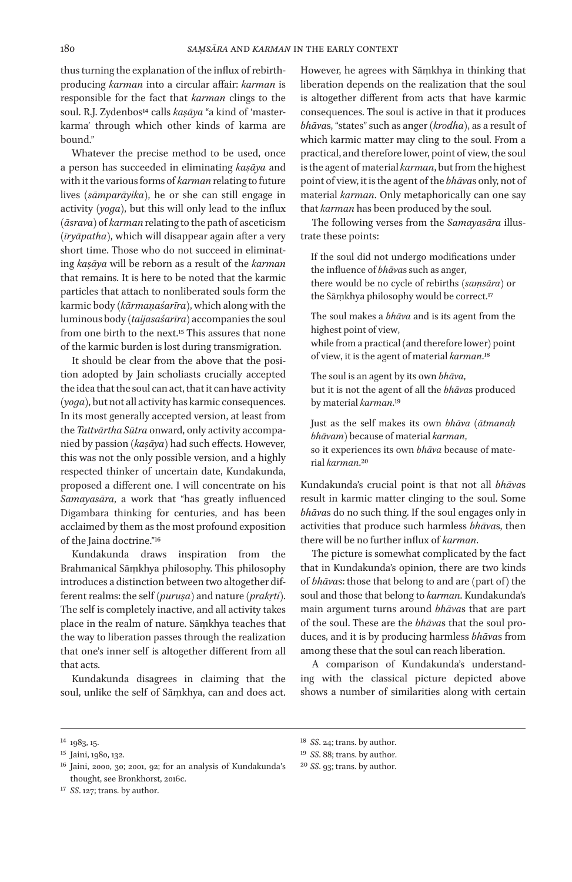thus turning the explanation of the influx of rebirthproducing *karman* into a circular affair: *karman* is responsible for the fact that *karman* clings to the soul. R.J. Zydenbos<sup>14</sup> calls *kasāya* "a kind of 'masterkarma' through which other kinds of karma are bound."

Whatever the precise method to be used, once a person has succeeded in eliminating *kaṣāya* and with it the various forms of *karman* relating to future lives (*sāmparāyika*), he or she can still engage in activity (*yoga*), but this will only lead to the influx (*āsrava*) of *karman* relating to the path of asceticism (*īryāpatha*), which will disappear again after a very short time. Those who do not succeed in eliminating *kaṣāya* will be reborn as a result of the *karman* that remains. It is here to be noted that the karmic particles that attach to nonliberated souls form the karmic body (*kārmaṇaśarīra*), which along with the luminous body (*taijasaśarīra*) accompanies the soul from one birth to the next.15 This assures that none of the karmic burden is lost during transmigration.

It should be clear from the above that the position adopted by Jain scholiasts crucially accepted the idea that the soul can act, that it can have activity (*yoga*), but not all activity has karmic consequences. In its most generally accepted version, at least from the *Tattvārtha Sūtra* onward, only activity accompanied by passion (*kaṣāya*) had such effects. However, this was not the only possible version, and a highly respected thinker of uncertain date, Kundakunda, proposed a different one. I will concentrate on his *Samayasāra*, a work that "has greatly influenced Digambara thinking for centuries, and has been acclaimed by them as the most profound exposition of the Jaina doctrine."16

Kundakunda draws inspiration from the Brahmanical Sāṃkhya philosophy. This philosophy introduces a distinction between two altogether different realms: the self (*puruṣa*) and nature (*prakṛti*). The self is completely inactive, and all activity takes place in the realm of nature. Sāṃkhya teaches that the way to liberation passes through the realization that one's inner self is altogether different from all that acts.

Kundakunda disagrees in claiming that the soul, unlike the self of Sāṃkhya, can and does act.

However, he agrees with Sāṃkhya in thinking that liberation depends on the realization that the soul is altogether different from acts that have karmic consequences. The soul is active in that it produces *bhāva*s, "states" such as anger (*krodha*), as a result of which karmic matter may cling to the soul. From a practical, and therefore lower, point of view, the soul is the agent of material *karman*, but from the highest point of view, it is the agent of the *bhāva*s only, not of material *karman*. Only metaphorically can one say that *karman* has been produced by the soul.

The following verses from the *Samayasāra* illustrate these points:

If the soul did not undergo modifications under the influence of *bhāva*s such as anger, there would be no cycle of rebirths (*saṃsāra*) or the Sāṃkhya philosophy would be correct.<sup>17</sup>

The soul makes a *bhāva* and is its agent from the highest point of view,

while from a practical (and therefore lower) point of view, it is the agent of material *karman*.18

The soul is an agent by its own *bhāva*, but it is not the agent of all the *bhāva*s produced by material *karman*.19

Just as the self makes its own *bhāva* (*ātmanaḥ bhāvam*) because of material *karman*, so it experiences its own *bhāva* because of material *karman*.20

Kundakunda's crucial point is that not all *bhāva*s result in karmic matter clinging to the soul. Some *bhāva*s do no such thing. If the soul engages only in activities that produce such harmless *bhāva*s, then there will be no further influx of *karman*.

The picture is somewhat complicated by the fact that in Kundakunda's opinion, there are two kinds of *bhāva*s: those that belong to and are (part of) the soul and those that belong to *karman*. Kundakunda's main argument turns around *bhāva*s that are part of the soul. These are the *bhāva*s that the soul produces, and it is by producing harmless *bhāva*s from among these that the soul can reach liberation.

A comparison of Kundakunda's understanding with the classical picture depicted above shows a number of similarities along with certain

- 19 *SS*. 88; trans. by author.
- 20 *SS*. 93; trans. by author.

<sup>14</sup> 1983, 15.

<sup>15</sup> Jaini, 1980, 132.

<sup>16</sup> Jaini, 2000, 30; 2001, 92; for an analysis of Kundakunda's thought, see Bronkhorst, 2016c.

<sup>17</sup> *SS*. 127; trans. by author.

<sup>18</sup> *SS*. 24; trans. by author.